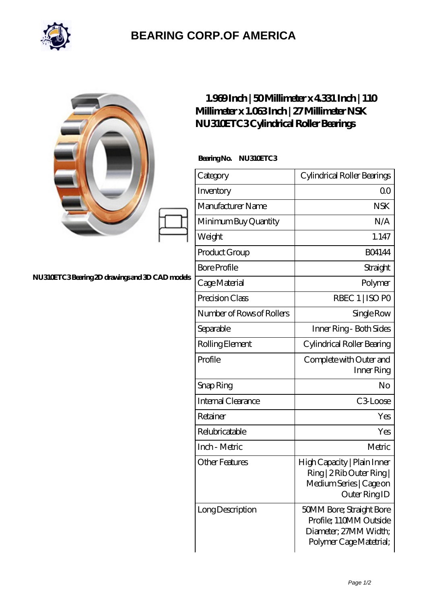

## **[BEARING CORP.OF AMERICA](https://bluemondayreview.com)**

|                                                | $1.969$ Inch   50Millimeter x 4331 Inch   110<br>Millimeter x 1.063Inch   27 Millimeter NSK<br>NU310ETC3Cylindrical Roller Bearings |                                                                                                        |
|------------------------------------------------|-------------------------------------------------------------------------------------------------------------------------------------|--------------------------------------------------------------------------------------------------------|
| NU310ETC3Bearing 2D drawings and 3D CAD models | BearingNo.<br>NU310ETC3                                                                                                             |                                                                                                        |
|                                                | Category                                                                                                                            | Cylindrical Roller Bearings                                                                            |
|                                                | Inventory                                                                                                                           | QO                                                                                                     |
|                                                | Manufacturer Name                                                                                                                   | <b>NSK</b>                                                                                             |
|                                                | Minimum Buy Quantity                                                                                                                | N/A                                                                                                    |
|                                                | Weight                                                                                                                              | 1.147                                                                                                  |
|                                                | Product Group                                                                                                                       | <b>BO4144</b>                                                                                          |
|                                                | <b>Bore Profile</b>                                                                                                                 | Straight                                                                                               |
|                                                | Cage Material                                                                                                                       | Polymer                                                                                                |
|                                                | Precision Class                                                                                                                     | RBEC 1   ISO PO                                                                                        |
|                                                | Number of Rows of Rollers                                                                                                           | Single Row                                                                                             |
|                                                | Separable                                                                                                                           | Inner Ring - Both Sides                                                                                |
|                                                | Rolling Element                                                                                                                     | Cylindrical Roller Bearing                                                                             |
|                                                | Profile                                                                                                                             | Complete with Outer and<br>Inner Ring                                                                  |
|                                                | Snap Ring                                                                                                                           | No                                                                                                     |
|                                                | Internal Clearance                                                                                                                  | C3Loose                                                                                                |
|                                                | Retainer                                                                                                                            | Yes                                                                                                    |
|                                                | Relubricatable                                                                                                                      | Yes                                                                                                    |
|                                                | Inch - Metric                                                                                                                       | Metric                                                                                                 |
|                                                | <b>Other Features</b>                                                                                                               | High Capacity   Plain Inner<br>Ring   2 Rib Outer Ring  <br>Medium Series   Cage on<br>Outer Ring ID   |
|                                                | Long Description                                                                                                                    | 50MM Bore; Straight Bore<br>Profile; 110MM Outside<br>Diameter; 27MM Width;<br>Polymer Cage Matetrial; |